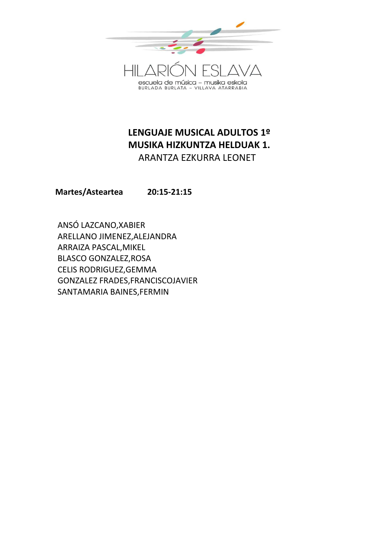

# **LENGUAJE MUSICAL ADULTOS 1º MUSIKA HIZKUNTZA HELDUAK 1.** ARANTZA EZKURRA LEONET

**Martes/Asteartea 20:15-21:15**

ANSÓ LAZCANO,XABIER ARELLANO JIMENEZ,ALEJANDRA ARRAIZA PASCAL,MIKEL BLASCO GONZALEZ,ROSA CELIS RODRIGUEZ,GEMMA GONZALEZ FRADES,FRANCISCOJAVIER SANTAMARIA BAINES,FERMIN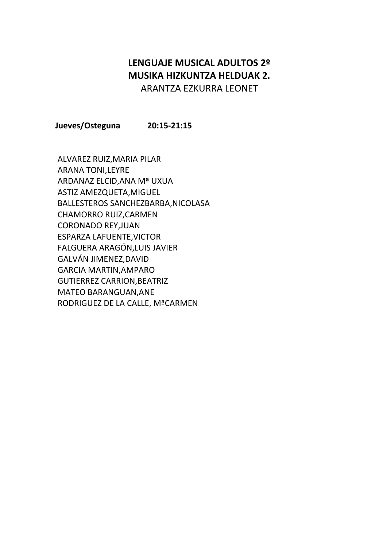### **LENGUAJE MUSICAL ADULTOS 2º MUSIKA HIZKUNTZA HELDUAK 2.** ARANTZA EZKURRA LEONET

**Jueves/Osteguna 20:15-21:15**

ALVAREZ RUIZ,MARIA PILAR ARANA TONI,LEYRE ARDANAZ ELCID,ANA Mª UXUA ASTIZ AMEZQUETA,MIGUEL BALLESTEROS SANCHEZBARBA,NICOLASA CHAMORRO RUIZ,CARMEN CORONADO REY,JUAN ESPARZA LAFUENTE,VICTOR FALGUERA ARAGÓN,LUIS JAVIER GALVÁN JIMENEZ,DAVID GARCIA MARTIN,AMPARO GUTIERREZ CARRION,BEATRIZ MATEO BARANGUAN,ANE RODRIGUEZ DE LA CALLE, MªCARMEN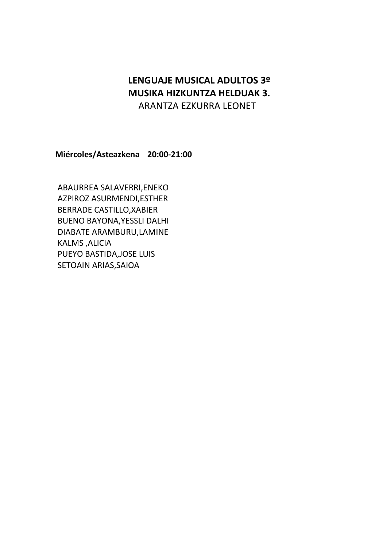## **LENGUAJE MUSICAL ADULTOS 3º MUSIKA HIZKUNTZA HELDUAK 3.** ARANTZA EZKURRA LEONET

**Miércoles/Asteazkena 20:00-21:00**

ABAURREA SALAVERRI,ENEKO AZPIROZ ASURMENDI,ESTHER BERRADE CASTILLO,XABIER BUENO BAYONA,YESSLI DALHI DIABATE ARAMBURU,LAMINE KALMS ,ALICIA PUEYO BASTIDA,JOSE LUIS SETOAIN ARIAS,SAIOA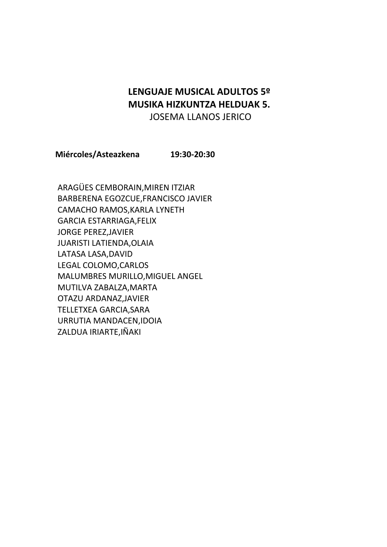### **LENGUAJE MUSICAL ADULTOS 5º MUSIKA HIZKUNTZA HELDUAK 5.** JOSEMA LLANOS JERICO

**Miércoles/Asteazkena 19:30-20:30**

ARAGÜES CEMBORAIN,MIREN ITZIAR BARBERENA EGOZCUE,FRANCISCO JAVIER CAMACHO RAMOS,KARLA LYNETH GARCIA ESTARRIAGA,FELIX JORGE PEREZ,JAVIER JUARISTI LATIENDA,OLAIA LATASA LASA,DAVID LEGAL COLOMO,CARLOS MALUMBRES MURILLO,MIGUEL ANGEL MUTILVA ZABALZA,MARTA OTAZU ARDANAZ,JAVIER TELLETXEA GARCIA,SARA URRUTIA MANDACEN,IDOIA ZALDUA IRIARTE,IÑAKI